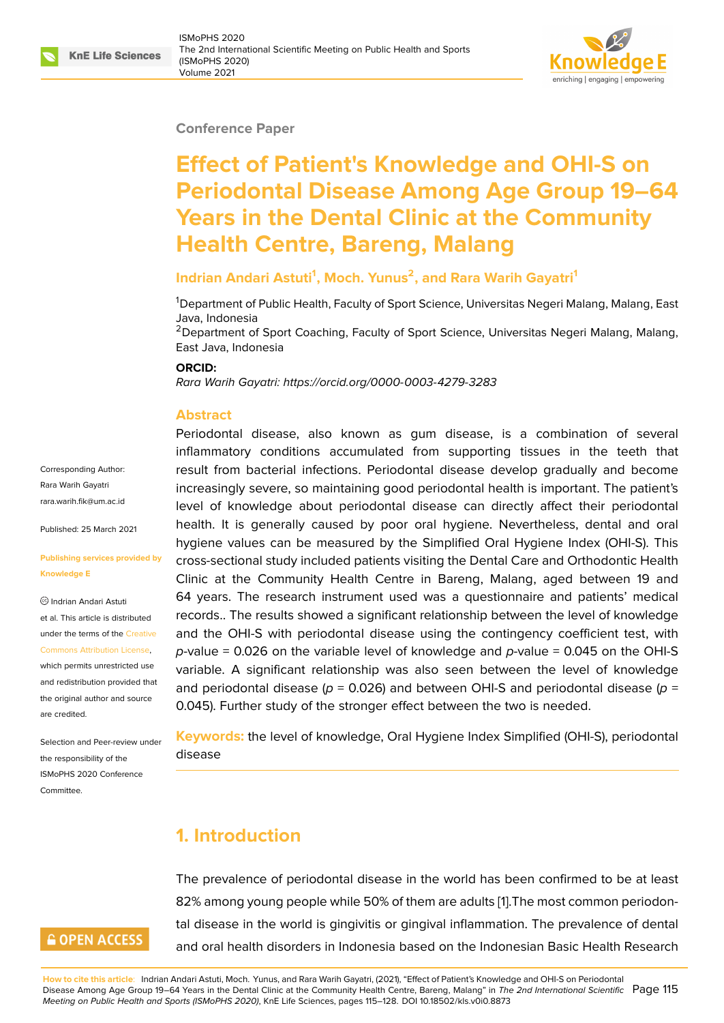#### **Conference Paper**

# **Effect of Patient's Knowledge and OHI-S on Periodontal Disease Among Age Group 19–64 Years in the Dental Clinic at the Community Health Centre, Bareng, Malang**

### **Indrian Andari Astuti<sup>1</sup> , Moch. Yunus<sup>2</sup> , and Rara Warih Gayatri<sup>1</sup>**

<sup>1</sup>Department of Public Health, Faculty of Sport Science, Universitas Negeri Malang, Malang, East Java, Indonesia

<sup>2</sup>Department of Sport Coaching, Faculty of Sport Science, Universitas Negeri Malang, Malang, East Java, Indonesia

#### **ORCID:**

*Rara Warih Gayatri: https://orcid.org/0000-0003-4279-3283*

#### **Abstract**

Corresponding Author: Rara Warih Gayatri rara.warih.fik@um.ac.id

Published: 25 March 2021

#### **[Publishing services pro](mailto:rara.warih.fik@um.ac.id)vided by Knowledge E**

Indrian Andari Astuti et al. This article is distributed under the terms of the Creative Commons Attribution License,

which permits unrestricted use and redistribution provided that the original author and [source](https://creativecommons.org/licenses/by/4.0/) [are credited.](https://creativecommons.org/licenses/by/4.0/)

Selection and Peer-review under the responsibility of the ISMoPHS 2020 Conference **Committee** 

## **GOPEN ACCESS**

Periodontal disea[se, also known as gum disease,](https://orcid.org/0000-0003-4279-3283) is a combination of several inflammatory conditions accumulated from supporting tissues in the teeth that result from bacterial infections. Periodontal disease develop gradually and become increasingly severe, so maintaining good periodontal health is important. The patient's level of knowledge about periodontal disease can directly affect their periodontal health. It is generally caused by poor oral hygiene. Nevertheless, dental and oral hygiene values can be measured by the Simplified Oral Hygiene Index (OHI-S). This cross-sectional study included patients visiting the Dental Care and Orthodontic Health Clinic at the Community Health Centre in Bareng, Malang, aged between 19 and 64 years. The research instrument used was a questionnaire and patients' medical records.. The results showed a significant relationship between the level of knowledge and the OHI-S with periodontal disease using the contingency coefficient test, with *p*-value = 0.026 on the variable level of knowledge and *p*-value = 0.045 on the OHI-S variable. A significant relationship was also seen between the level of knowledge and periodontal disease ( $p = 0.026$ ) and between OHI-S and periodontal disease ( $p =$ 0.045). Further study of the stronger effect between the two is needed.

**Keywords:** the level of knowledge, Oral Hygiene Index Simplified (OHI-S), periodontal disease

## **1. Introduction**

The prevalence of periodontal disease in the world has been confirmed to be at least 82% among young people while 50% of them are adults [1].The most common periodontal disease in the world is gingivitis or gingival inflammation. The prevalence of dental and oral health disorders in Indonesia based on the Indonesian Basic Health Research

**How to cite this article**: Indrian Andari Astuti, Moch. Yunus, and Rara Warih Gayatri, (2021), "Effect of Patient's Knowledge and OHI-S on Periodontal Disease Among Age Group 19–64 Years in the Dental Clinic at the Community Health Centre, Bareng, Malang" in *The 2nd International Scientific* Page 115 *Meeting on Public Health and Sports (ISMoPHS 2020)*, KnE Life Sciences, pages 115–128. DOI 10.18502/kls.v0i0.8873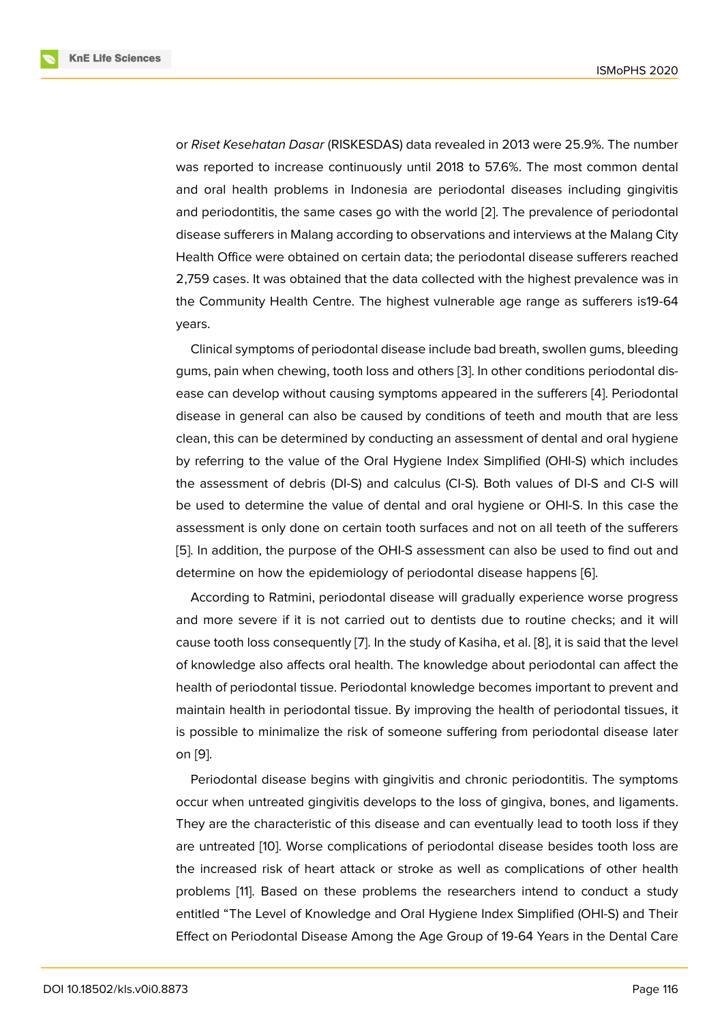or *Riset Kesehatan Dasar* (RISKESDAS) data revealed in 2013 were 25.9%. The number was reported to increase continuously until 2018 to 57.6%. The most common dental and oral health problems in Indonesia are periodontal diseases including gingivitis and periodontitis, the same cases go with the world [2]. The prevalence of periodontal disease sufferers in Malang according to observations and interviews at the Malang City Health Office were obtained on certain data; the periodontal disease sufferers reached 2,759 cases. It was obtained that the data collected [wit](#page-11-0)h the highest prevalence was in the Community Health Centre. The highest vulnerable age range as sufferers is19-64 years.

Clinical symptoms of periodontal disease include bad breath, swollen gums, bleeding gums, pain when chewing, tooth loss and others [3]. In other conditions periodontal disease can develop without causing symptoms appeared in the sufferers [4]. Periodontal disease in general can also be caused by conditions of teeth and mouth that are less clean, this can be determined by conducting an [ass](#page-11-1)essment of dental and oral hygiene by referring to the value of the Oral Hygiene Index Simplified (OHI-S) [wh](#page-11-2)ich includes the assessment of debris (DI-S) and calculus (CI-S). Both values of DI-S and CI-S will be used to determine the value of dental and oral hygiene or OHI-S. In this case the assessment is only done on certain tooth surfaces and not on all teeth of the sufferers [5]. In addition, the purpose of the OHI-S assessment can also be used to find out and determine on how the epidemiology of periodontal disease happens [6].

According to Ratmini, periodontal disease will gradually experience worse progress [an](#page-11-3)d more severe if it is not carried out to dentists due to routine checks; and it will cause tooth loss consequently [7]. In the study of Kasiha, et al. [8], it is s[ai](#page-11-4)d that the level of knowledge also affects oral health. The knowledge about periodontal can affect the health of periodontal tissue. Periodontal knowledge becomes important to prevent and maintain health in periodontal [tis](#page-11-5)sue. By improving the health [o](#page-12-0)f periodontal tissues, it is possible to minimalize the risk of someone suffering from periodontal disease later on [9].

Periodontal disease begins with gingivitis and chronic periodontitis. The symptoms occur when untreated gingivitis develops to the loss of gingiva, bones, and ligaments. Th[ey](#page-12-1) are the characteristic of this disease and can eventually lead to tooth loss if they are untreated [10]. Worse complications of periodontal disease besides tooth loss are the increased risk of heart attack or stroke as well as complications of other health problems [11]. Based on these problems the researchers intend to conduct a study entitled "The L[eve](#page-12-2)l of Knowledge and Oral Hygiene Index Simplified (OHI-S) and Their Effect on Periodontal Disease Among the Age Group of 19-64 Years in the Dental Care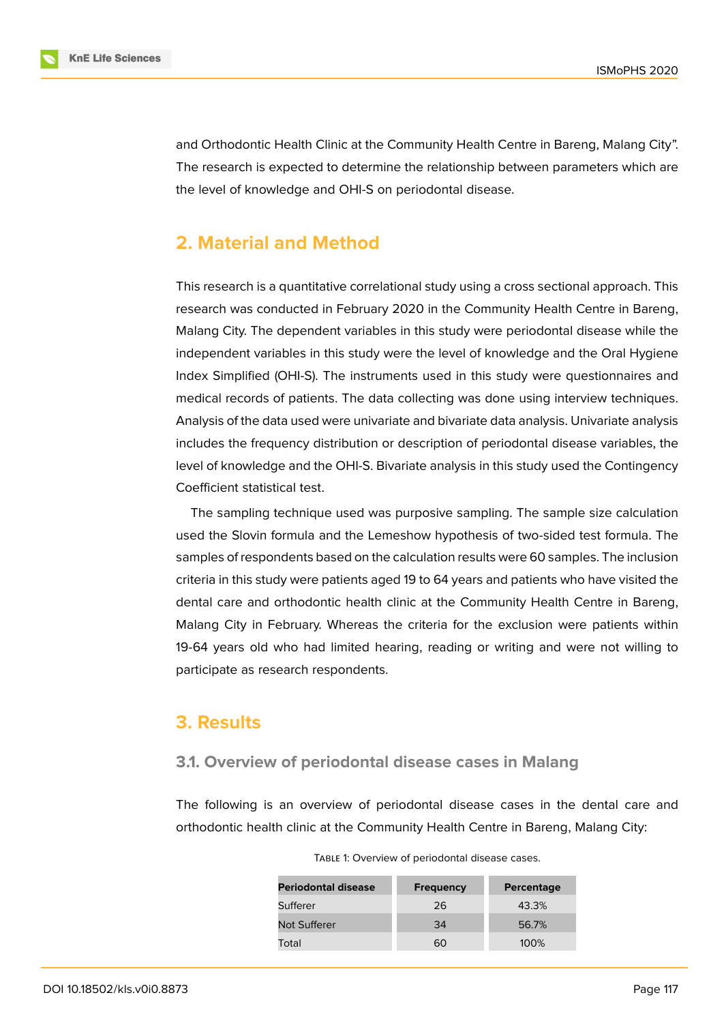

and Orthodontic Health Clinic at the Community Health Centre in Bareng, Malang City". The research is expected to determine the relationship between parameters which are the level of knowledge and OHI-S on periodontal disease.

## **2. Material and Method**

This research is a quantitative correlational study using a cross sectional approach. This research was conducted in February 2020 in the Community Health Centre in Bareng, Malang City. The dependent variables in this study were periodontal disease while the independent variables in this study were the level of knowledge and the Oral Hygiene Index Simplified (OHI-S). The instruments used in this study were questionnaires and medical records of patients. The data collecting was done using interview techniques. Analysis of the data used were univariate and bivariate data analysis. Univariate analysis includes the frequency distribution or description of periodontal disease variables, the level of knowledge and the OHI-S. Bivariate analysis in this study used the Contingency Coefficient statistical test.

The sampling technique used was purposive sampling. The sample size calculation used the Slovin formula and the Lemeshow hypothesis of two-sided test formula. The samples of respondents based on the calculation results were 60 samples. The inclusion criteria in this study were patients aged 19 to 64 years and patients who have visited the dental care and orthodontic health clinic at the Community Health Centre in Bareng, Malang City in February. Whereas the criteria for the exclusion were patients within 19-64 years old who had limited hearing, reading or writing and were not willing to participate as research respondents.

### **3. Results**

#### **3.1. Overview of periodontal disease cases in Malang**

The following is an overview of periodontal disease cases in the dental care and orthodontic health clinic at the Community Health Centre in Bareng, Malang City:

**Periodontal disease Frequency Percentage** Sufferer 26 26 43.3% Not Sufferer 1980 100 34 56.7% Total 60 100%

TABLE 1: Overview of periodontal disease cases.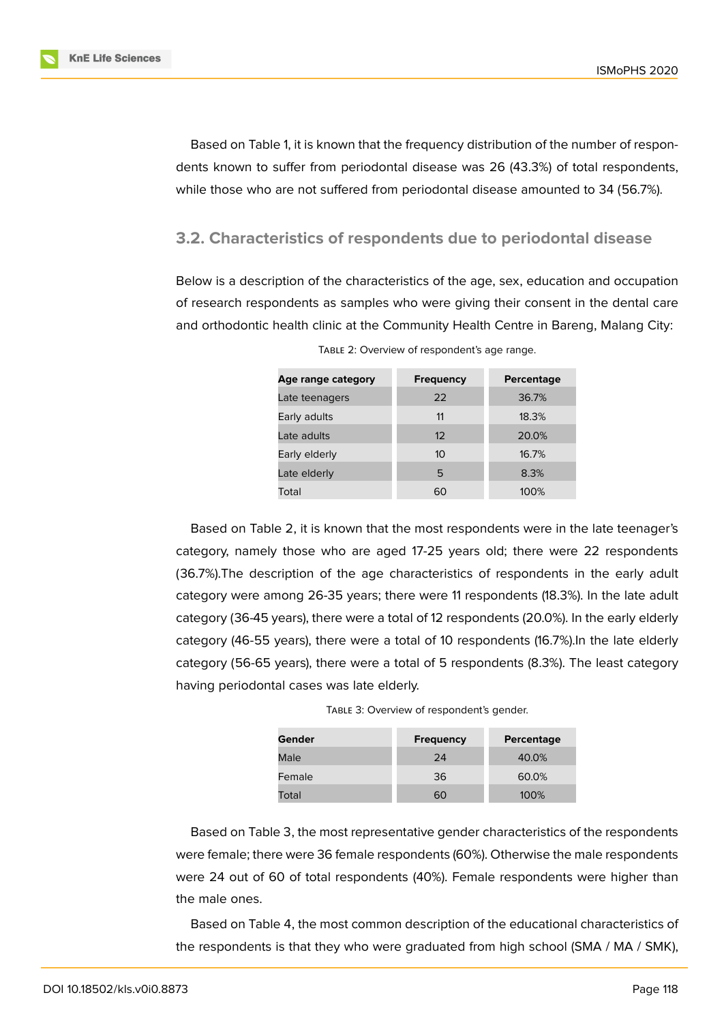**KnE Life Sciences** 

Based on Table 1, it is known that the frequency distribution of the number of respondents known to suffer from periodontal disease was 26 (43.3%) of total respondents, while those who are not suffered from periodontal disease amounted to 34 (56.7%).

### **3.2. Characteristics of respondents due to periodontal disease**

Below is a description of the characteristics of the age, sex, education and occupation of research respondents as samples who were giving their consent in the dental care and orthodontic health clinic at the Community Health Centre in Bareng, Malang City:

| Age range category | <b>Frequency</b> | Percentage |
|--------------------|------------------|------------|
| Late teenagers     | 22               | 36.7%      |
| Early adults       | 11               | 18.3%      |
| Late adults        | 12               | 20.0%      |
| Early elderly      | 10               | 16.7%      |
| Late elderly       | 5                | 8.3%       |
| Total              | 60               | 100%       |

TABLE 2: Overview of respondent's age range.

Based on Table 2, it is known that the most respondents were in the late teenager's category, namely those who are aged 17-25 years old; there were 22 respondents (36.7%).The description of the age characteristics of respondents in the early adult category were among 26-35 years; there were 11 respondents (18.3%). In the late adult category (36-45 years), there were a total of 12 respondents (20.0%). In the early elderly category (46-55 years), there were a total of 10 respondents (16.7%).In the late elderly category (56-65 years), there were a total of 5 respondents (8.3%). The least category having periodontal cases was late elderly.

| TABLE 3: Overview of respondent's gender. |  |  |
|-------------------------------------------|--|--|
|-------------------------------------------|--|--|

| Gender | <b>Frequency</b> | Percentage |
|--------|------------------|------------|
| Male   | 24               | 40.0%      |
| Female | 36               | 60.0%      |
| Total  | 60               | 100%       |

Based on Table 3, the most representative gender characteristics of the respondents were female; there were 36 female respondents (60%). Otherwise the male respondents were 24 out of 60 of total respondents (40%). Female respondents were higher than the male ones.

Based on Table 4, the most common description of the educational characteristics of the respondents is that they who were graduated from high school (SMA / MA / SMK),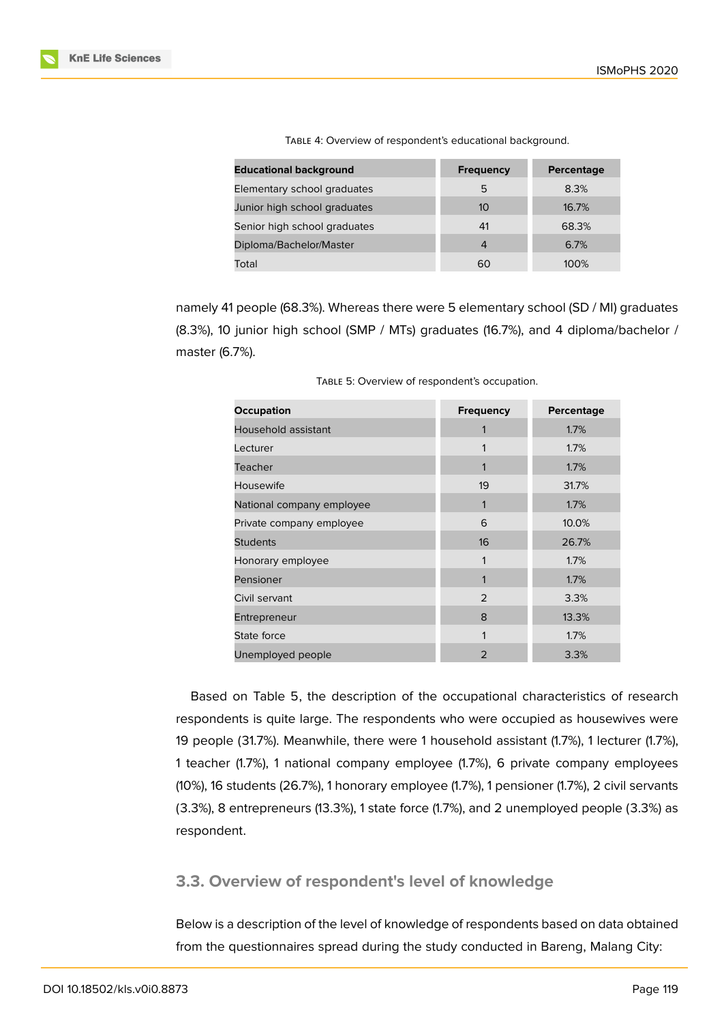| <b>Educational background</b> | <b>Frequency</b> | Percentage |
|-------------------------------|------------------|------------|
| Elementary school graduates   | 5                | 8.3%       |
| Junior high school graduates  | 10               | 16.7%      |
| Senior high school graduates  | 41               | 68.3%      |
| Diploma/Bachelor/Master       | 4                | 6.7%       |
| Total                         | 60               | 100%       |

TABLE 4: Overview of respondent's educational background.

namely 41 people (68.3%). Whereas there were 5 elementary school (SD / MI) graduates (8.3%), 10 junior high school (SMP / MTs) graduates (16.7%), and 4 diploma/bachelor / master (6.7%).

| Occupation                | <b>Frequency</b> | Percentage |
|---------------------------|------------------|------------|
| Household assistant       | 1                | 1.7%       |
| Lecturer                  |                  | 1.7%       |
| Teacher                   | 1                | 1.7%       |
| Housewife                 | 19               | 31.7%      |
| National company employee | 1                | 1.7%       |
| Private company employee  | 6                | 10.0%      |
| <b>Students</b>           | 16               | 26.7%      |
| Honorary employee         | 1                | 1.7%       |
| Pensioner                 | 1                | 1.7%       |
| Civil servant             | $\mathfrak{D}$   | 3.3%       |
| Entrepreneur              | 8                | 13.3%      |
| State force               |                  | 1.7%       |
| Unemployed people         | $\overline{2}$   | 3.3%       |

TABLE 5: Overview of respondent's occupation.

Based on Table 5, the description of the occupational characteristics of research respondents is quite large. The respondents who were occupied as housewives were 19 people (31.7%). Meanwhile, there were 1 household assistant (1.7%), 1 lecturer (1.7%), 1 teacher (1.7%), 1 national company employee (1.7%), 6 private company employees (10%), 16 students (26.7%), 1 honorary employee (1.7%), 1 pensioner (1.7%), 2 civil servants (3.3%), 8 entrepreneurs (13.3%), 1 state force (1.7%), and 2 unemployed people (3.3%) as respondent.

#### **3.3. Overview of respondent's level of knowledge**

Below is a description of the level of knowledge of respondents based on data obtained from the questionnaires spread during the study conducted in Bareng, Malang City: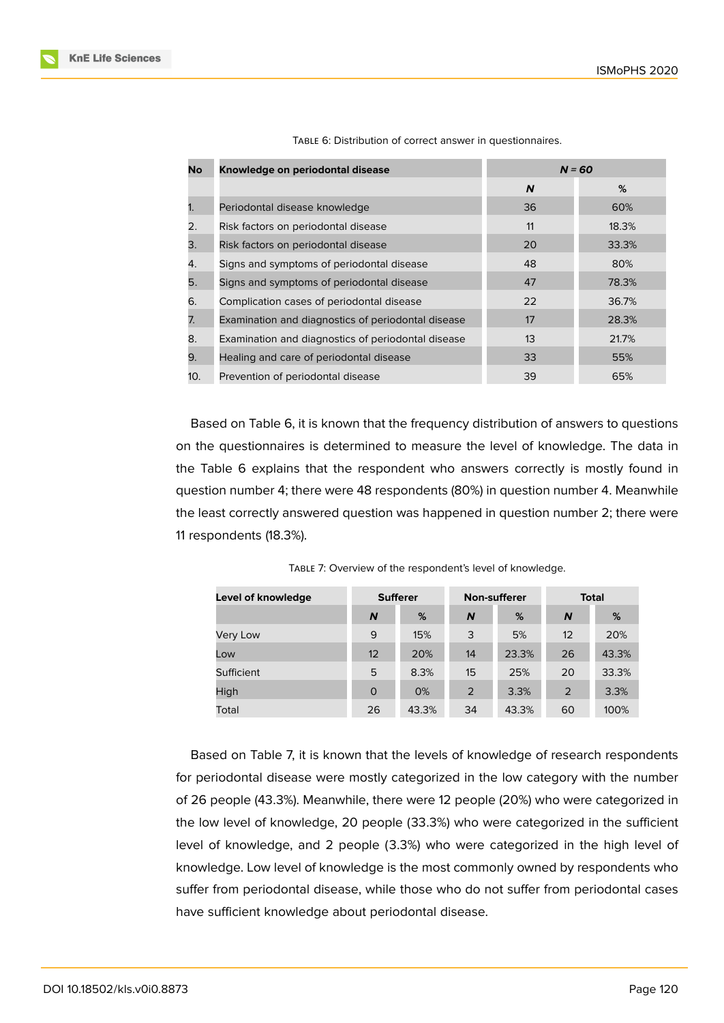| No  | Knowledge on periodontal disease                   |    | $N = 60$ |
|-----|----------------------------------------------------|----|----------|
|     |                                                    | N  | %        |
| 1.  | Periodontal disease knowledge                      | 36 | 60%      |
| 2.  | Risk factors on periodontal disease                | 11 | 18.3%    |
| 3.  | Risk factors on periodontal disease                | 20 | 33.3%    |
| 4.  | Signs and symptoms of periodontal disease          | 48 | 80%      |
| 5.  | Signs and symptoms of periodontal disease          | 47 | 78.3%    |
| 6.  | Complication cases of periodontal disease          | 22 | 36.7%    |
| 7.  | Examination and diagnostics of periodontal disease | 17 | 28.3%    |
| 8.  | Examination and diagnostics of periodontal disease | 13 | 21.7%    |
| 9.  | Healing and care of periodontal disease            | 33 | 55%      |
| 10. | Prevention of periodontal disease                  | 39 | 65%      |

TABLE 6: Distribution of correct answer in questionnaires.

Based on Table 6, it is known that the frequency distribution of answers to questions on the questionnaires is determined to measure the level of knowledge. The data in the Table 6 explains that the respondent who answers correctly is mostly found in question number 4; there were 48 respondents (80%) in question number 4. Meanwhile the least correctly answered question was happened in question number 2; there were 11 respondents (18.3%).

| Level of knowledge | <b>Sufferer</b>  |       |    | <b>Non-sufferer</b> | <b>Total</b> |       |  |
|--------------------|------------------|-------|----|---------------------|--------------|-------|--|
|                    | $\boldsymbol{N}$ | %     | N  | %                   | N            | %     |  |
| Very Low           | 9                | 15%   | 3  | 5%                  | 12           | 20%   |  |
| Low                | 12               | 20%   | 14 | 23.3%               | 26           | 43.3% |  |
| Sufficient         | 5                | 8.3%  | 15 | 25%                 | 20           | 33.3% |  |
| High               | 0                | 0%    | 2  | 3.3%                | 2            | 3.3%  |  |
| Total              | 26               | 43.3% | 34 | 43.3%               | 60           | 100%  |  |

TABLE 7: Overview of the respondent's level of knowledge.

Based on Table 7, it is known that the levels of knowledge of research respondents for periodontal disease were mostly categorized in the low category with the number of 26 people (43.3%). Meanwhile, there were 12 people (20%) who were categorized in the low level of knowledge, 20 people (33.3%) who were categorized in the sufficient level of knowledge, and 2 people (3.3%) who were categorized in the high level of knowledge. Low level of knowledge is the most commonly owned by respondents who suffer from periodontal disease, while those who do not suffer from periodontal cases have sufficient knowledge about periodontal disease.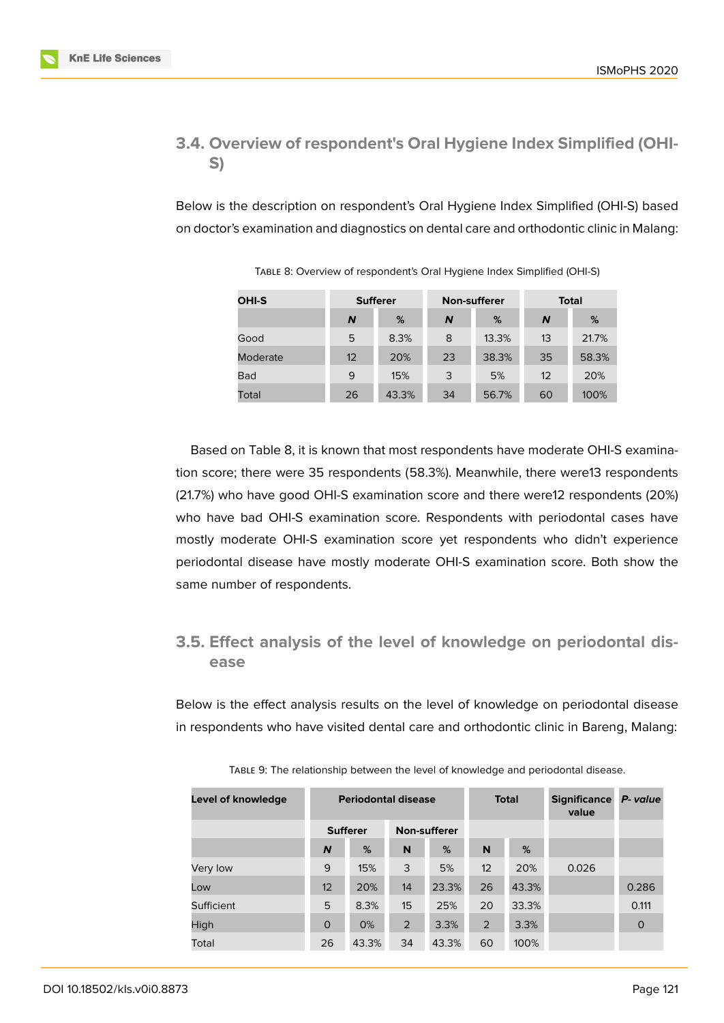## **3.4. Overview of respondent's Oral Hygiene Index Simplified (OHI-S)**

Below is the description on respondent's Oral Hygiene Index Simplified (OHI-S) based on doctor's examination and diagnostics on dental care and orthodontic clinic in Malang:

| <b>OHI-S</b> | <b>Sufferer</b> |       |    | <b>Non-sufferer</b> | <b>Total</b> |       |  |
|--------------|-----------------|-------|----|---------------------|--------------|-------|--|
|              | N               | %     | N  | %                   | N            | %     |  |
| Good         | 5               | 8.3%  | 8  | 13.3%               | 13           | 21.7% |  |
| Moderate     | 12              | 20%   | 23 | 38.3%               | 35           | 58.3% |  |
| <b>Bad</b>   | 9               | 15%   | 3  | 5%                  | 12           | 20%   |  |
| Total        | 26              | 43.3% | 34 | 56.7%               | 60           | 100%  |  |

TABLE 8: Overview of respondent's Oral Hygiene Index Simplified (OHI-S)

Based on Table 8, it is known that most respondents have moderate OHI-S examination score; there were 35 respondents (58.3%). Meanwhile, there were13 respondents (21.7%) who have good OHI-S examination score and there were12 respondents (20%) who have bad OHI-S examination score. Respondents with periodontal cases have mostly moderate OHI-S examination score yet respondents who didn't experience periodontal disease have mostly moderate OHI-S examination score. Both show the same number of respondents.

## **3.5. Effect analysis of the level of knowledge on periodontal disease**

Below is the effect analysis results on the level of knowledge on periodontal disease in respondents who have visited dental care and orthodontic clinic in Bareng, Malang:

| Level of knowledge | <b>Periodontal disease</b> |       |                     |       | <b>Total</b> |       | <b>Significance</b><br>value | P- value    |
|--------------------|----------------------------|-------|---------------------|-------|--------------|-------|------------------------------|-------------|
|                    | <b>Sufferer</b>            |       | <b>Non-sufferer</b> |       |              |       |                              |             |
|                    | $\overline{N}$             | %     | N                   | %     | N            | %     |                              |             |
| Very low           | 9                          | 15%   | 3                   | 5%    | 12           | 20%   | 0.026                        |             |
| Low                | 12                         | 20%   | 14                  | 23.3% | 26           | 43.3% |                              | 0.286       |
| Sufficient         | 5                          | 8.3%  | 15                  | 25%   | 20           | 33.3% |                              | 0.111       |
| High               | $\Omega$                   | 0%    | 2                   | 3.3%  | 2            | 3.3%  |                              | $\mathbf 0$ |
| Total              | 26                         | 43.3% | 34                  | 43.3% | 60           | 100%  |                              |             |

TABLE 9: The relationship between the level of knowledge and periodontal disease.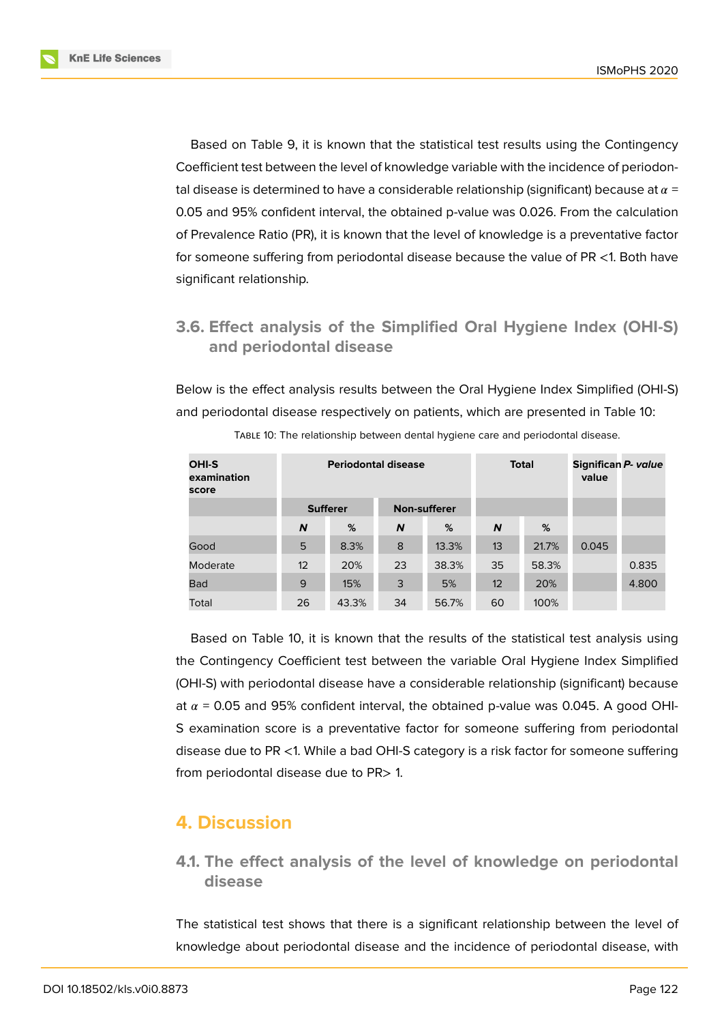

Based on Table 9, it is known that the statistical test results using the Contingency Coefficient test between the level of knowledge variable with the incidence of periodontal disease is determined to have a considerable relationship (significant) because at  $\alpha$  = 0.05 and 95% confident interval, the obtained p-value was 0.026. From the calculation of Prevalence Ratio (PR), it is known that the level of knowledge is a preventative factor for someone suffering from periodontal disease because the value of PR <1. Both have significant relationship.

## **3.6. Effect analysis of the Simplified Oral Hygiene Index (OHI-S) and periodontal disease**

Below is the effect analysis results between the Oral Hygiene Index Simplified (OHI-S) and periodontal disease respectively on patients, which are presented in Table 10:

| <b>OHI-S</b><br>examination<br>score |    | <b>Periodontal disease</b> |                     |       | <b>Total</b>      | Significan P- value<br>value |       |       |
|--------------------------------------|----|----------------------------|---------------------|-------|-------------------|------------------------------|-------|-------|
|                                      |    | <b>Sufferer</b>            | <b>Non-sufferer</b> |       |                   |                              |       |       |
|                                      | N  | %                          | N                   | %     | N                 | %                            |       |       |
| Good                                 | 5  | 8.3%                       | 8                   | 13.3% | 13                | 21.7%                        | 0.045 |       |
| Moderate                             | 12 | 20%                        | 23                  | 38.3% | 35                | 58.3%                        |       | 0.835 |
| <b>Bad</b>                           | 9  | 15%                        | 3                   | 5%    | $12 \overline{ }$ | 20%                          |       | 4.800 |
| Total                                | 26 | 43.3%                      | 34                  | 56.7% | 60                | 100%                         |       |       |

TABLE 10: The relationship between dental hygiene care and periodontal disease.

Based on Table 10, it is known that the results of the statistical test analysis using the Contingency Coefficient test between the variable Oral Hygiene Index Simplified (OHI-S) with periodontal disease have a considerable relationship (significant) because at  $\alpha$  = 0.05 and 95% confident interval, the obtained p-value was 0.045. A good OHI-S examination score is a preventative factor for someone suffering from periodontal disease due to PR <1. While a bad OHI-S category is a risk factor for someone suffering from periodontal disease due to PR> 1.

## **4. Discussion**

**4.1. The effect analysis of the level of knowledge on periodontal disease**

The statistical test shows that there is a significant relationship between the level of knowledge about periodontal disease and the incidence of periodontal disease, with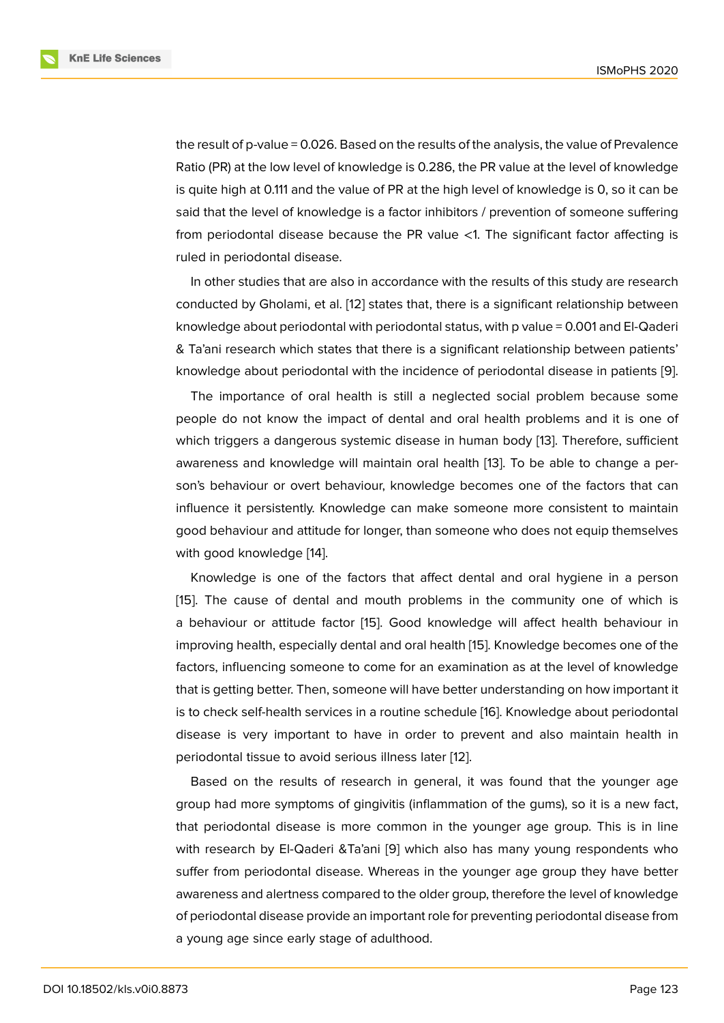the result of p-value = 0.026. Based on the results of the analysis, the value of Prevalence Ratio (PR) at the low level of knowledge is 0.286, the PR value at the level of knowledge is quite high at 0.111 and the value of PR at the high level of knowledge is 0, so it can be said that the level of knowledge is a factor inhibitors / prevention of someone suffering from periodontal disease because the PR value <1. The significant factor affecting is ruled in periodontal disease.

In other studies that are also in accordance with the results of this study are research conducted by Gholami, et al. [12] states that, there is a significant relationship between knowledge about periodontal with periodontal status, with p value = 0.001 and El-Qaderi & Ta'ani research which states that there is a significant relationship between patients' knowledge about periodontal [wi](#page-12-3)th the incidence of periodontal disease in patients [9].

The importance of oral health is still a neglected social problem because some people do not know the impact of dental and oral health problems and it is one of which triggers a dangerous systemic disease in human body [13]. Therefore, suffici[en](#page-12-1)t awareness and knowledge will maintain oral health [13]. To be able to change a person's behaviour or overt behaviour, knowledge becomes one of the factors that can influence it persistently. Knowledge can make someone mor[e c](#page-12-4)onsistent to maintain good behaviour and attitude for longer, than someon[e w](#page-12-4)ho does not equip themselves with good knowledge [14].

Knowledge is one of the factors that affect dental and oral hygiene in a person [15]. The cause of dental and mouth problems in the community one of which is a behaviour or attitud[e f](#page-12-5)actor [15]. Good knowledge will affect health behaviour in improving health, especially dental and oral health [15]. Knowledge becomes one of the [fac](#page-12-6)tors, influencing someone to come for an examination as at the level of knowledge that is getting better. Then, som[eon](#page-12-6)e will have better understanding on how important it is to check self-health services in a routine schedul[e \[1](#page-12-6)6]. Knowledge about periodontal disease is very important to have in order to prevent and also maintain health in periodontal tissue to avoid serious illness later [12].

Based on the results of research in general, it [wa](#page-12-7)s found that the younger age group had more symptoms of gingivitis (inflammation of the gums), so it is a new fact, that periodontal disease is more common in t[he](#page-12-3) younger age group. This is in line with research by El-Qaderi &Ta'ani [9] which also has many young respondents who suffer from periodontal disease. Whereas in the younger age group they have better awareness and alertness compared to the older group, therefore the level of knowledge of periodontal disease provide an im[po](#page-12-1)rtant role for preventing periodontal disease from a young age since early stage of adulthood.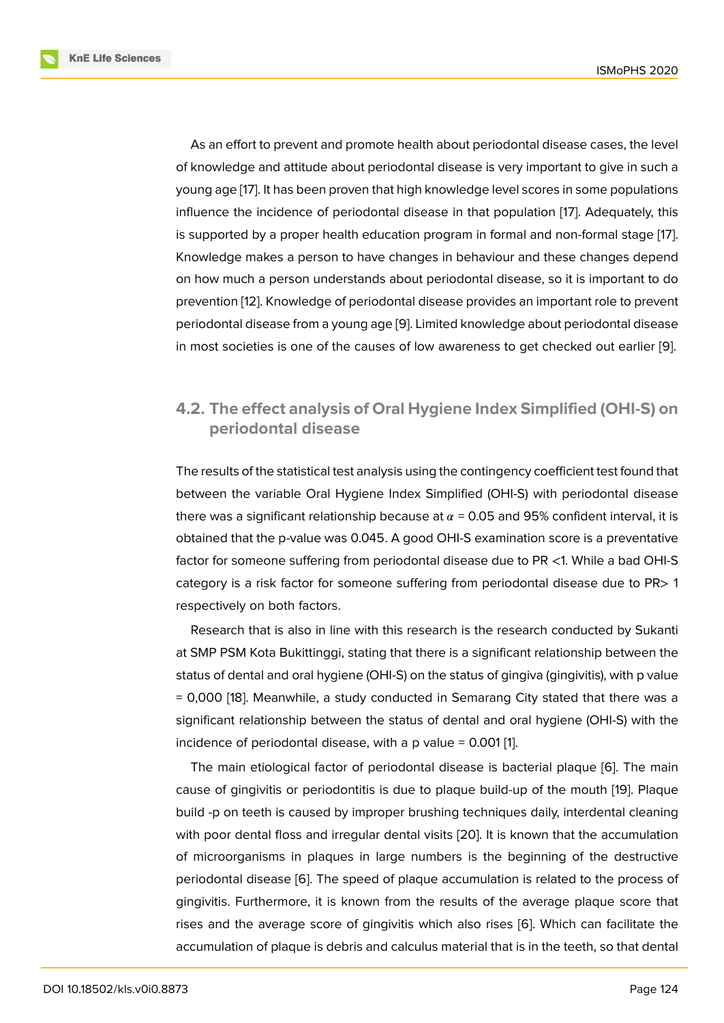As an effort to prevent and promote health about periodontal disease cases, the level of knowledge and attitude about periodontal disease is very important to give in such a young age [17]. It has been proven that high knowledge level scores in some populations influence the incidence of periodontal disease in that population [17]. Adequately, this is supported by a proper health education program in formal and non-formal stage [17]. Knowledge [m](#page-12-8)akes a person to have changes in behaviour and these changes depend on how much a person understands about periodontal disease, so [it](#page-12-8) is important to do prevention [12]. Knowledge of periodontal disease provides an important role to prev[en](#page-12-8)t periodontal disease from a young age [9]. Limited knowledge about periodontal disease in most societies is one of the causes of low awareness to get checked out earlier [9].

### **4.2. The effect analysis of Oral Hygiene Index Simplified (OHI-S) [on](#page-12-1) periodontal disease**

The results of the statistical test analysis using the contingency coefficient test found that between the variable Oral Hygiene Index Simplified (OHI-S) with periodontal disease there was a significant relationship because at  $\alpha$  = 0.05 and 95% confident interval, it is obtained that the p-value was 0.045. A good OHI-S examination score is a preventative factor for someone suffering from periodontal disease due to PR <1. While a bad OHI-S category is a risk factor for someone suffering from periodontal disease due to PR> 1 respectively on both factors.

Research that is also in line with this research is the research conducted by Sukanti at SMP PSM Kota Bukittinggi, stating that there is a significant relationship between the status of dental and oral hygiene (OHI-S) on the status of gingiva (gingivitis), with p value = 0,000 [18]. Meanwhile, a study conducted in Semarang City stated that there was a significant relationship between the status of dental and oral hygiene (OHI-S) with the incidence of periodontal disease, with a  $p$  value = 0.001 [1].

The m[ain](#page-12-9) etiological factor of periodontal disease is bacterial plaque [6]. The main cause of gingivitis or periodontitis is due to plaque build-up of the mouth [19]. Plaque build -p on teeth is caused by improper brushing techniq[u](#page-11-6)es daily, interdental cleaning with poor dental floss and irregular dental visits [20]. It is known that the [ac](#page-11-4)cumulation of microorganisms in plaques in large numbers is the beginning of the [de](#page-12-10)structive periodontal disease [6]. The speed of plaque accumulation is related to the process of gingivitis. Furthermore, it is known from the res[ults](#page-13-0) of the average plaque score that rises and the average score of gingivitis which also rises [6]. Which can facilitate the accumulation of plaq[ue](#page-11-4) is debris and calculus material that is in the teeth, so that dental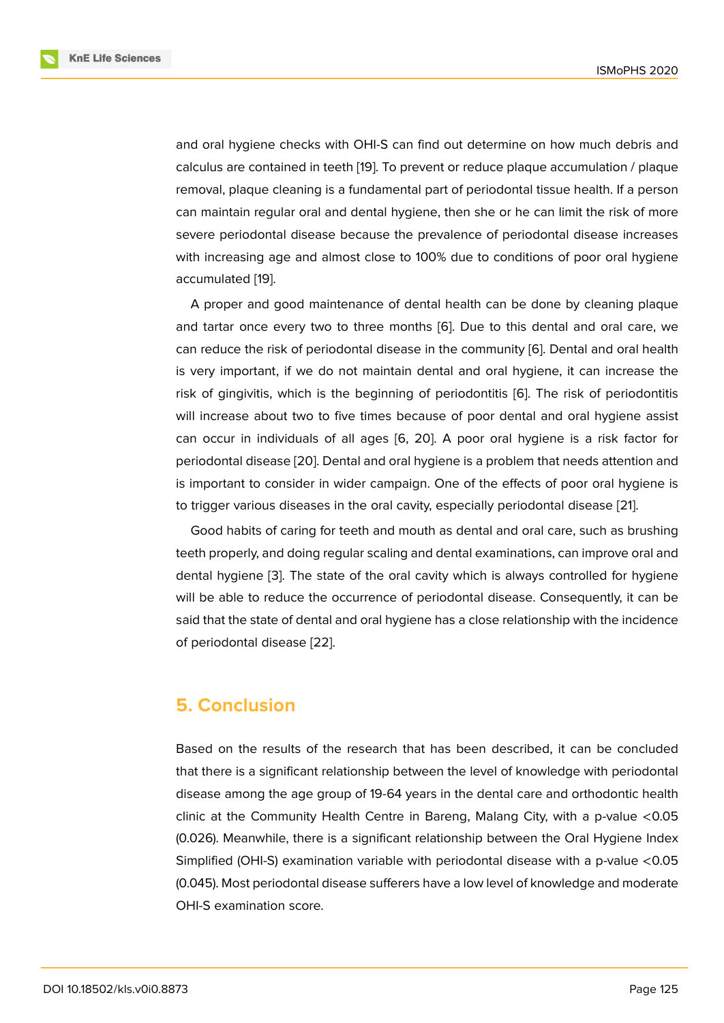and oral hygiene checks with OHI-S can find out determine on how much debris and calculus are contained in teeth [19]. To prevent or reduce plaque accumulation / plaque removal, plaque cleaning is a fundamental part of periodontal tissue health. If a person can maintain regular oral and dental hygiene, then she or he can limit the risk of more severe periodontal disease be[cau](#page-12-10)se the prevalence of periodontal disease increases with increasing age and almost close to 100% due to conditions of poor oral hygiene accumulated [19].

A proper and good maintenance of dental health can be done by cleaning plaque and tartar once every two to three months [6]. Due to this dental and oral care, we can reduce th[e r](#page-12-10)isk of periodontal disease in the community [6]. Dental and oral health is very important, if we do not maintain dental and oral hygiene, it can increase the risk of gingivitis, which is the beginning of [pe](#page-11-4)riodontitis [6]. The risk of periodontitis will increase about two to five times because of poor dent[al](#page-11-4) and oral hygiene assist can occur in individuals of all ages [6, 20]. A poor oral hygiene is a risk factor for periodontal disease [20]. Dental and oral hygiene is a probl[em](#page-11-4) that needs attention and is important to consider in wider campaign. One of the effects of poor oral hygiene is to trigger various diseases in the oral [ca](#page-11-4)[vity,](#page-13-0) especially periodontal disease [21].

Good habits of ca[ring](#page-13-0) for teeth and mouth as dental and oral care, such as brushing teeth properly, and doing regular scaling and dental examinations, can improve oral and dental hygiene [3]. The state of the oral cavity which is always controlled f[or h](#page-13-1)ygiene will be able to reduce the occurrence of periodontal disease. Consequently, it can be said that the state of dental and oral hygiene has a close relationship with the incidence of periodontal d[is](#page-11-1)ease [22].

## **5. Conclusion**

Based on the results of the research that has been described, it can be concluded that there is a significant relationship between the level of knowledge with periodontal disease among the age group of 19-64 years in the dental care and orthodontic health clinic at the Community Health Centre in Bareng, Malang City, with a p-value <0.05 (0.026). Meanwhile, there is a significant relationship between the Oral Hygiene Index Simplified (OHI-S) examination variable with periodontal disease with a p-value <0.05 (0.045). Most periodontal disease sufferers have a low level of knowledge and moderate OHI-S examination score.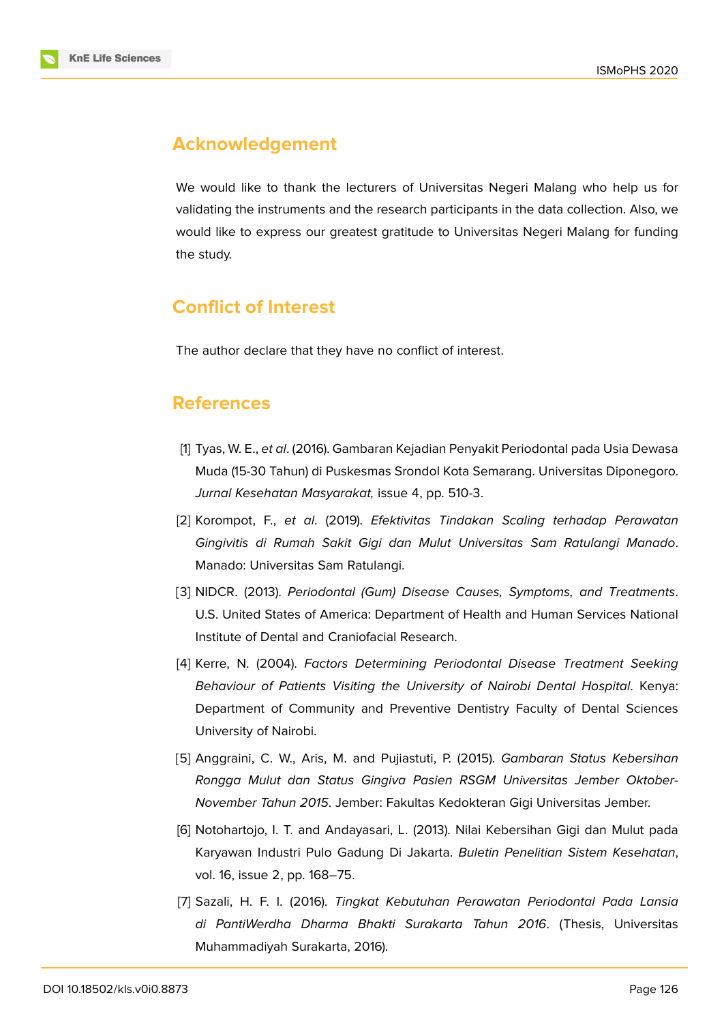

## **Acknowledgement**

We would like to thank the lecturers of Universitas Negeri Malang who help us for validating the instruments and the research participants in the data collection. Also, we would like to express our greatest gratitude to Universitas Negeri Malang for funding the study.

## **Conflict of Interest**

The author declare that they have no conflict of interest.

## **References**

- <span id="page-11-6"></span>[1] Tyas, W. E., *et al*. (2016). Gambaran Kejadian Penyakit Periodontal pada Usia Dewasa Muda (15-30 Tahun) di Puskesmas Srondol Kota Semarang. Universitas Diponegoro. *Jurnal Kesehatan Masyarakat,* issue 4, pp. 510-3.
- <span id="page-11-0"></span>[2] Korompot, F., *et al*. (2019). *Efektivitas Tindakan Scaling terhadap Perawatan Gingivitis di Rumah Sakit Gigi dan Mulut Universitas Sam Ratulangi Manado*. Manado: Universitas Sam Ratulangi.
- <span id="page-11-1"></span>[3] NIDCR. (2013). *Periodontal (Gum) Disease Causes, Symptoms, and Treatments*. U.S. United States of America: Department of Health and Human Services National Institute of Dental and Craniofacial Research.
- <span id="page-11-2"></span>[4] Kerre, N. (2004). *Factors Determining Periodontal Disease Treatment Seeking Behaviour of Patients Visiting the University of Nairobi Dental Hospital*. Kenya: Department of Community and Preventive Dentistry Faculty of Dental Sciences University of Nairobi.
- <span id="page-11-3"></span>[5] Anggraini, C. W., Aris, M. and Pujiastuti, P. (2015). *Gambaran Status Kebersihan Rongga Mulut dan Status Gingiva Pasien RSGM Universitas Jember Oktober-November Tahun 2015*. Jember: Fakultas Kedokteran Gigi Universitas Jember.
- <span id="page-11-4"></span>[6] Notohartojo, I. T. and Andayasari, L. (2013). Nilai Kebersihan Gigi dan Mulut pada Karyawan Industri Pulo Gadung Di Jakarta. *Buletin Penelitian Sistem Kesehatan*, vol. 16, issue 2, pp. 168–75.
- <span id="page-11-5"></span>[7] Sazali, H. F. I. (2016). *Tingkat Kebutuhan Perawatan Periodontal Pada Lansia di PantiWerdha Dharma Bhakti Surakarta Tahun 2016*. (Thesis, Universitas Muhammadiyah Surakarta, 2016).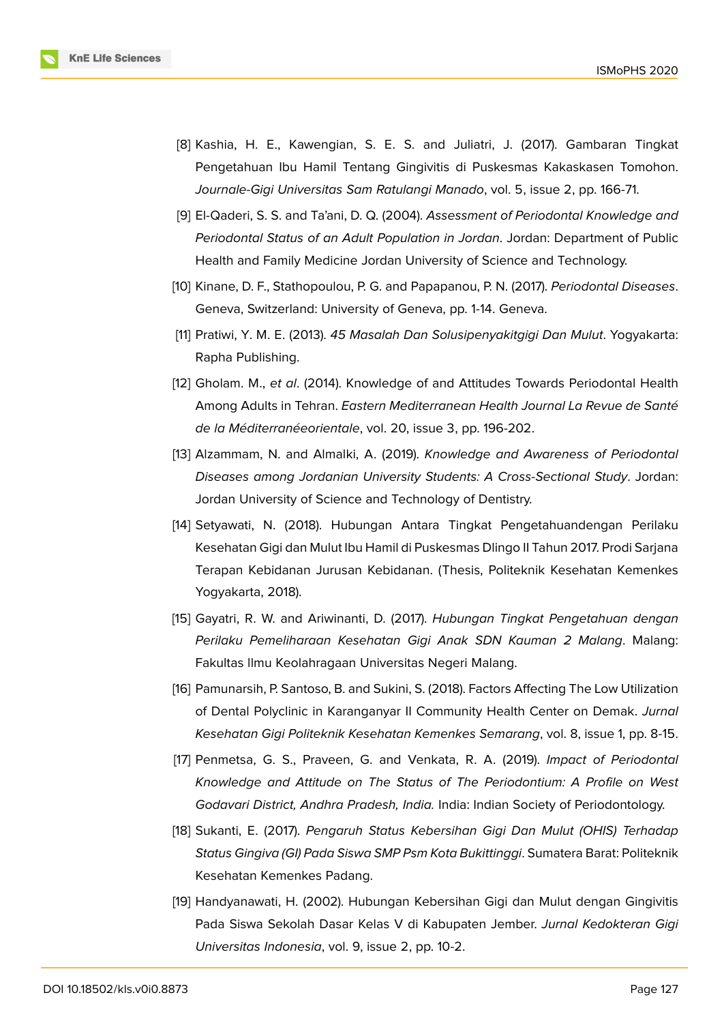

- <span id="page-12-0"></span>[8] Kashia, H. E., Kawengian, S. E. S. and Juliatri, J. (2017). Gambaran Tingkat Pengetahuan Ibu Hamil Tentang Gingivitis di Puskesmas Kakaskasen Tomohon. *Journale-Gigi Universitas Sam Ratulangi Manado*, vol. 5, issue 2, pp. 166-71.
- <span id="page-12-1"></span>[9] El-Qaderi, S. S. and Ta'ani, D. Q. (2004). *Assessment of Periodontal Knowledge and Periodontal Status of an Adult Population in Jordan*. Jordan: Department of Public Health and Family Medicine Jordan University of Science and Technology.
- <span id="page-12-2"></span>[10] Kinane, D. F., Stathopoulou, P. G. and Papapanou, P. N. (2017). *Periodontal Diseases*. Geneva, Switzerland: University of Geneva, pp. 1-14. Geneva.
- [11] Pratiwi, Y. M. E. (2013). *45 Masalah Dan Solusipenyakitgigi Dan Mulut*. Yogyakarta: Rapha Publishing.
- <span id="page-12-3"></span>[12] Gholam. M., *et al*. (2014). Knowledge of and Attitudes Towards Periodontal Health Among Adults in Tehran. *Eastern Mediterranean Health Journal La Revue de Santé de la Méditerranéeorientale*, vol. 20, issue 3, pp. 196-202.
- <span id="page-12-4"></span>[13] Alzammam, N. and Almalki, A. (2019). *Knowledge and Awareness of Periodontal Diseases among Jordanian University Students: A Cross-Sectional Study*. Jordan: Jordan University of Science and Technology of Dentistry.
- <span id="page-12-5"></span>[14] Setyawati, N. (2018). Hubungan Antara Tingkat Pengetahuandengan Perilaku Kesehatan Gigi dan Mulut Ibu Hamil di Puskesmas Dlingo II Tahun 2017. Prodi Sarjana Terapan Kebidanan Jurusan Kebidanan. (Thesis, Politeknik Kesehatan Kemenkes Yogyakarta, 2018).
- <span id="page-12-6"></span>[15] Gayatri, R. W. and Ariwinanti, D. (2017). *Hubungan Tingkat Pengetahuan dengan Perilaku Pemeliharaan Kesehatan Gigi Anak SDN Kauman 2 Malang*. Malang: Fakultas llmu Keolahragaan Universitas Negeri Malang.
- <span id="page-12-7"></span>[16] Pamunarsih, P. Santoso, B. and Sukini, S. (2018). Factors Affecting The Low Utilization of Dental Polyclinic in Karanganyar II Community Health Center on Demak. *Jurnal Kesehatan Gigi Politeknik Kesehatan Kemenkes Semarang*, vol. 8, issue 1, pp. 8-15.
- <span id="page-12-8"></span>[17] Penmetsa, G. S., Praveen, G. and Venkata, R. A. (2019). *Impact of Periodontal Knowledge and Attitude on The Status of The Periodontium: A Profile on West Godavari District, Andhra Pradesh, India.* India: Indian Society of Periodontology.
- <span id="page-12-9"></span>[18] Sukanti, E. (2017). *Pengaruh Status Kebersihan Gigi Dan Mulut (OHIS) Terhadap Status Gingiva (GI) Pada Siswa SMP Psm Kota Bukittinggi*. Sumatera Barat: Politeknik Kesehatan Kemenkes Padang.
- <span id="page-12-10"></span>[19] Handyanawati, H. (2002). Hubungan Kebersihan Gigi dan Mulut dengan Gingivitis Pada Siswa Sekolah Dasar Kelas V di Kabupaten Jember. *Jurnal Kedokteran Gigi Universitas Indonesia*, vol. 9, issue 2, pp. 10-2.